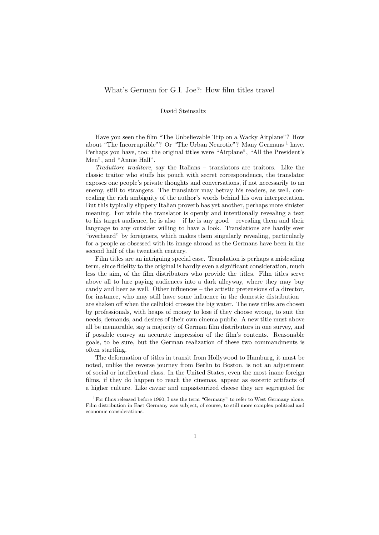## David Steinsaltz

Have you seen the film "The Unbelievable Trip on a Wacky Airplane"? How about "The Incorruptible"? Or "The Urban Neurotic"? Many Germans<sup>1</sup> have. Perhaps you have, too: the original titles were "Airplane", "All the President's Men", and "Annie Hall".

Traduttore traditore, say the Italians – translators are traitors. Like the classic traitor who stuffs his pouch with secret correspondence, the translator exposes one people's private thoughts and conversations, if not necessarily to an enemy, still to strangers. The translator may betray his readers, as well, concealing the rich ambiguity of the author's words behind his own interpretation. But this typically slippery Italian proverb has yet another, perhaps more sinister meaning. For while the translator is openly and intentionally revealing a text to his target audience, he is also – if he is any good – revealing them and their language to any outsider willing to have a look. Translations are hardly ever "overheard" by foreigners, which makes them singularly revealing, particularly for a people as obsessed with its image abroad as the Germans have been in the second half of the twentieth century.

Film titles are an intriguing special case. Translation is perhaps a misleading term, since fidelity to the original is hardly even a significant consideration, much less the aim, of the film distributors who provide the titles. Film titles serve above all to lure paying audiences into a dark alleyway, where they may buy candy and beer as well. Other influences – the artistic pretensions of a director, for instance, who may still have some influence in the domestic distribution – are shaken off when the celluloid crosses the big water. The new titles are chosen by professionals, with heaps of money to lose if they choose wrong, to suit the needs, demands, and desires of their own cinema public. A new title must above all be memorable, say a majority of German film distributors in one survey, and if possible convey an accurate impression of the film's contents. Reasonable goals, to be sure, but the German realization of these two commandments is often startling.

The deformation of titles in transit from Hollywood to Hamburg, it must be noted, unlike the reverse journey from Berlin to Boston, is not an adjustment of social or intellectual class. In the United States, even the most inane foreign films, if they do happen to reach the cinemas, appear as esoteric artifacts of a higher culture. Like caviar and unpasteurized cheese they are segregated for

<sup>&</sup>lt;sup>1</sup>For films released before 1990, I use the term "Germany" to refer to West Germany alone. Film distribution in East Germany was subject, of course, to still more complex political and economic considerations.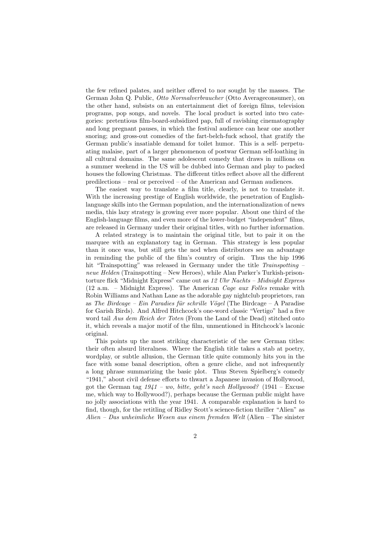the few refined palates, and neither offered to nor sought by the masses. The German John Q. Public, Otto Normalverbraucher (Otto Averageconsumer), on the other hand, subsists on an entertainment diet of foreign films, television programs, pop songs, and novels. The local product is sorted into two categories: pretentious film-board-subsidized pap, full of ravishing cinematography and long pregnant pauses, in which the festival audience can hear one another snoring; and gross-out comedies of the fart-belch-fuck school, that gratify the German public's insatiable demand for toilet humor. This is a self- perpetuating malaise, part of a larger phenomenon of postwar German self-loathing in all cultural domains. The same adolescent comedy that draws in millions on a summer weekend in the US will be dubbed into German and play to packed houses the following Christmas. The different titles reflect above all the different predilections – real or perceived – of the American and German audiences.

The easiest way to translate a film title, clearly, is not to translate it. With the increasing prestige of English worldwide, the penetration of Englishlanguage skills into the German population, and the internationalization of news media, this lazy strategy is growing ever more popular. About one third of the English-language films, and even more of the lower-budget "independent" films, are released in Germany under their original titles, with no further information.

A related strategy is to maintain the original title, but to pair it on the marquee with an explanatory tag in German. This strategy is less popular than it once was, but still gets the nod when distributors see an advantage in reminding the public of the film's country of origin. Thus the hip 1996 hit "Trainspotting" was released in Germany under the title Trainspotting – neue Helden (Trainspotting – New Heroes), while Alan Parker's Turkish-prisontorture flick "Midnight Express" came out as 12 Uhr Nachts - Midnight Express  $(12$  a.m. – Midnight Express). The American *Cage aux Folles* remake with Robin Williams and Nathan Lane as the adorable gay nightclub proprietors, ran as The Birdcage – Ein Paradies für schrille Vögel (The Birdcage – A Paradise for Garish Birds). And Alfred Hitchcock's one-word classic "Vertigo" had a five word tail Aus dem Reich der Toten (From the Land of the Dead) stitched onto it, which reveals a major motif of the film, unmentioned in Hitchcock's laconic original.

This points up the most striking characteristic of the new German titles: their often absurd literalness. Where the English title takes a stab at poetry, wordplay, or subtle allusion, the German title quite commonly hits you in the face with some banal description, often a genre cliche, and not infrequently a long phrase summarizing the basic plot. Thus Steven Spielberg's comedy "1941," about civil defense efforts to thwart a Japanese invasion of Hollywood, got the German tag  $1941 - w$ , bitte, geht's nach Hollywood? (1941 – Excuse me, which way to Hollywood?), perhaps because the German public might have no jolly associations with the year 1941. A comparable explanation is hard to find, though, for the retitling of Ridley Scott's science-fiction thriller "Alien" as Alien – Das unheimliche Wesen aus einem fremden Welt (Alien – The sinister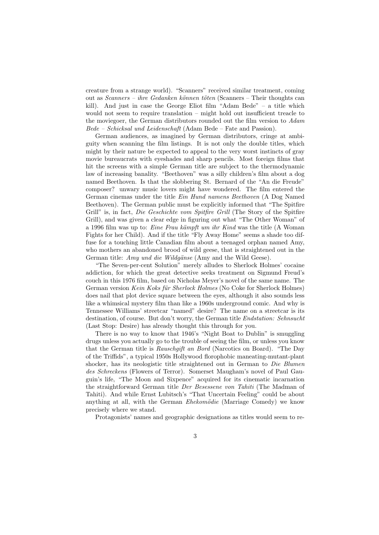creature from a strange world). "Scanners" received similar treatment, coming out as *Scanners – ihre Gedanken können töten* (Scanners – Their thoughts can kill). And just in case the George Eliot film "Adam Bede" – a title which would not seem to require translation – might hold out insufficient treacle to the moviegoer, the German distributors rounded out the film version to Adam Bede – Schicksal und Leidenschaft (Adam Bede – Fate and Passion).

German audiences, as imagined by German distributors, cringe at ambiguity when scanning the film listings. It is not only the double titles, which might by their nature be expected to appeal to the very worst instincts of gray movie bureaucrats with eyeshades and sharp pencils. Most foreign films that hit the screens with a simple German title are subject to the thermodynamic law of increasing banality. "Beethoven" was a silly children's film about a dog named Beethoven. Is that the slobbering St. Bernard of the "An die Freude" composer? unwary music lovers might have wondered. The film entered the German cinemas under the title Ein Hund namens Beethoven (A Dog Named Beethoven). The German public must be explicitly informed that "The Spitfire Grill" is, in fact, Die Geschichte vom Spitfire Grill (The Story of the Spitfire Grill), and was given a clear edge in figuring out what "The Other Woman" of a 1996 film was up to: *Eine Frau kämpft um ihr Kind* was the title (A Woman Fights for her Child). And if the title "Fly Away Home" seems a shade too diffuse for a touching little Canadian film about a teenaged orphan named Amy, who mothers an abandoned brood of wild geese, that is straightened out in the German title: Amy und die Wildgänse (Amy and the Wild Geese).

"The Seven-per-cent Solution" merely alludes to Sherlock Holmes' cocaine addiction, for which the great detective seeks treatment on Sigmund Freud's couch in this 1976 film, based on Nicholas Meyer's novel of the same name. The German version Kein Koks für Sherlock Holmes (No Coke for Sherlock Holmes) does nail that plot device square between the eyes, although it also sounds less like a whimsical mystery film than like a 1960s underground comic. And why is Tennessee Williams' streetcar "named" desire? The name on a streetcar is its destination, of course. But don't worry, the German title *Endstation: Sehnsucht* (Last Stop: Desire) has already thought this through for you.

There is no way to know that 1946's "Night Boat to Dublin" is smuggling drugs unless you actually go to the trouble of seeing the film, or unless you know that the German title is Rauschgift an Bord (Narcotics on Board). "The Day of the Triffids", a typical 1950s Hollywood florophobic maneating-mutant-plant shocker, has its neologistic title straightened out in German to Die Blumen des Schreckens (Flowers of Terror). Somerset Maugham's novel of Paul Gauguin's life, "The Moon and Sixpence" acquired for its cinematic incarnation the straightforward German title Der Besessene von Tahiti (The Madman of Tahiti). And while Ernst Lubitsch's "That Uncertain Feeling" could be about anything at all, with the German  $Ehekomödie$  (Marriage Comedy) we know precisely where we stand.

Protagonists' names and geographic designations as titles would seem to re-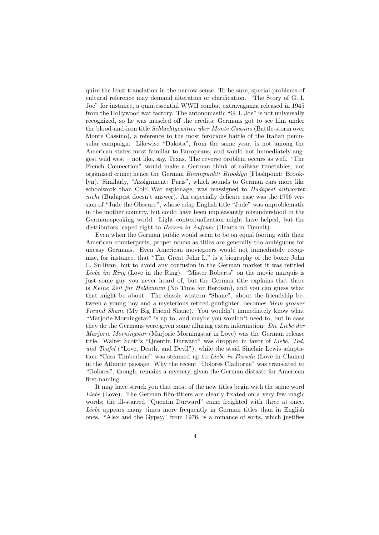quire the least translation in the narrow sense. To be sure, special problems of cultural reference may demand alteration or clarification. "The Story of G. I. Joe" for instance, a quintessential WWII combat extravaganza released in 1945 from the Hollywood war factory. The antonomastic "G. I. Joe" is not universally recognized, so he was muscled off the credits; Germans got to see him under the blood-and-iron title Schlachtgewitter über Monte Cassino (Battle-storm over Monte Cassino), a reference to the most ferocious battle of the Italian peninsular campaign. Likewise "Dakota", from the same year, is not among the American states most familiar to Europeans, and would not immediately suggest wild west – not like, say, Texas. The reverse problem occurs as well. "The French Connection" would make a German think of railway timetables, not organized crime; hence the German Brennpunkt: Brooklyn (Flashpoint: Brooklyn). Similarly, "Assignment: Paris", which sounds to German ears more like schoolwork than Cold War espionage, was reassigned to Budapest antwortet nicht (Budapest doesn't answer). An especially delicate case was the 1996 version of "Jude the Obscure", whose crisp English title "Jude" was unproblematic in the mother country, but could have been unpleasantly misunderstood in the German-speaking world. Light contextualization might have helped, but the distributors leaped right to *Herzen in Aufruhr* (Hearts in Tumult).

Even when the German public would seem to be on equal footing with their American counterparts, proper nouns as titles are generally too ambiguous for uneasy Germans. Even American moviegoers would not immediately recognize, for instance, that "The Great John L." is a biography of the boxer John L. Sullivan, but to avoid any confusion in the German market it was retitled Liebe im Ring (Love in the Ring). "Mister Roberts" on the movie marquis is just some guy you never heard of, but the German title explains that there is Keine Zeit für Heldentum (No Time for Heroism), and you can guess what that might be about. The classic western "Shane", about the friendship between a young boy and a mysterious retired gunfighter, becomes *Mein grosser* Freund Shane (My Big Friend Shane). You wouldn't immediately know what "Marjorie Morningstar" is up to, and maybe you wouldn't need to, but in case they do the Germans were given some alluring extra information: Die Liebe der Marjorie Morningstar (Marjorie Morningstar in Love) was the German release title. Walter Scott's "Quentin Durward" was dropped in favor of Liebe, Tod, und Teufel ("Love, Death, and Devil"), while the staid Sinclair Lewis adaptation "Cass Timberlane" was steamed up to Liebe in Fesseln (Love in Chains) in the Atlantic passage. Why the recent "Dolores Claiborne" was translated to "Dolores", though, remains a mystery, given the German distaste for American first-naming.

It may have struck you that most of the new titles begin with the same word Liebe (Love). The German film-titlers are clearly fixated on a very few magic words; the ill-starred "Quentin Durward" came freighted with three at once. Liebe appears many times more frequently in German titles than in English ones. "Alex and the Gypsy," from 1976, is a romance of sorts, which justifies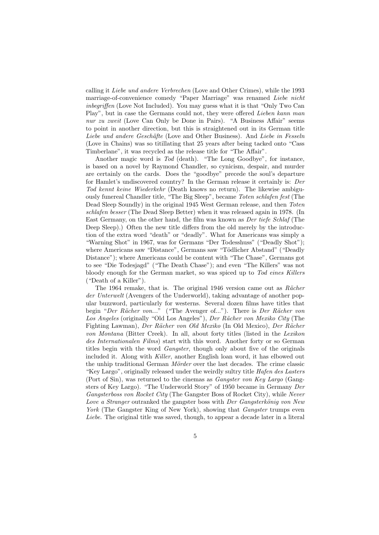calling it Liebe und andere Verbrechen (Love and Other Crimes), while the 1993 marriage-of-convenience comedy "Paper Marriage" was renamed Liebe nicht inbegriffen (Love Not Included). You may guess what it is that "Only Two Can Play", but in case the Germans could not, they were offered Lieben kann man nur zu zweit (Love Can Only be Done in Pairs). "A Business Affair" seems to point in another direction, but this is straightened out in its German title Liebe und andere Geschäfte (Love and Other Business). And Liebe in Fesseln (Love in Chains) was so titillating that 25 years after being tacked onto "Cass Timberlane", it was recycled as the release title for "The Affair".

Another magic word is Tod (death). "The Long Goodbye", for instance, is based on a novel by Raymond Chandler, so cynicism, despair, and murder are certainly on the cards. Does the "goodbye" precede the soul's departure for Hamlet's undiscovered country? In the German release it certainly is: Der Tod kennt keine Wiederkehr (Death knows no return). The likewise ambiguously funereal Chandler title, "The Big Sleep", became Toten schlafen fest (The Dead Sleep Soundly) in the original 1945 West German release, and then Toten schlafen besser (The Dead Sleep Better) when it was released again in 1978. (In East Germany, on the other hand, the film was known as Der tiefe Schlaf (The Deep Sleep).) Often the new title differs from the old merely by the introduction of the extra word "death" or "deadly". What for Americans was simply a "Warning Shot" in 1967, was for Germans "Der Todesshuss" ("Deadly Shot"); where Americans saw "Distance", Germans saw "Tödlicher Abstand" ("Deadly Distance"); where Americans could be content with "The Chase", Germans got to see "Die Todesjagd" ("The Death Chase"); and even "The Killers" was not bloody enough for the German market, so was spiced up to Tod eines Killers ("Death of a Killer").

The 1964 remake, that is. The original 1946 version came out as  $Rächer$ der Unterwelt (Avengers of the Underworld), taking advantage of another popular buzzword, particularly for westerns. Several dozen films have titles that begin "Der Rächer von..." ("The Avenger of..."). There is Der Rächer von Los Angeles (originally "Old Los Angeles"), Der Rächer von Mexiko City (The Fighting Lawman), Der Rächer von Old Mexiko (In Old Mexico), Der Rächer von Montana (Bitter Creek). In all, about forty titles (listed in the Lexikon des Internationalen Films) start with this word. Another forty or so German titles begin with the word Gangster, though only about five of the originals included it. Along with Killer, another English loan word, it has elbowed out the unhip traditional German Mörder over the last decades. The crime classic "Key Largo", originally released under the weirdly sultry title Hafen des Lasters (Port of Sin), was returned to the cinemas as Gangster von Key Largo (Gangsters of Key Largo). "The Underworld Story" of 1950 became in Germany Der Gangsterboss von Rocket City (The Gangster Boss of Rocket City), while Never Love a Stranger outranked the gangster boss with Der Gangsterkönig von New York (The Gangster King of New York), showing that *Gangster* trumps even Liebe. The original title was saved, though, to appear a decade later in a literal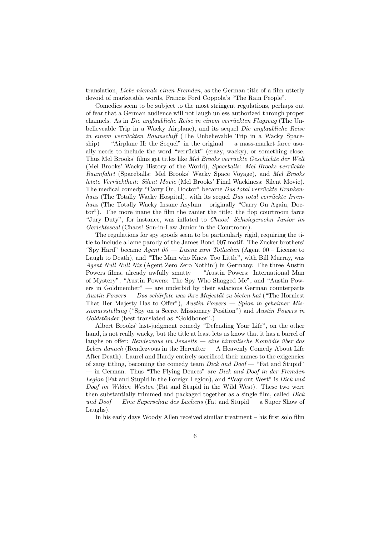translation, Liebe niemals einen Fremden, as the German title of a film utterly devoid of marketable words, Francis Ford Coppola's "The Rain People".

Comedies seem to be subject to the most stringent regulations, perhaps out of fear that a German audience will not laugh unless authorized through proper channels. As in Die unglaubliche Reise in einem verrückten Flugzeug (The Unbelieveable Trip in a Wacky Airplane), and its sequel Die unglaubliche Reise in einem verrückten Raumschiff (The Unbelievable Trip in a Wacky Space- $\text{ship}$ ) — "Airplane II: the Sequel" in the original — a mass-market farce usually needs to include the word "verrückt" (crazy, wacky), or something close. Thus Mel Brooks' films get titles like Mel Brooks verrückte Geschichte der Welt (Mel Brooks' Wacky History of the World), Spaceballs: Mel Brooks verrückte Raumfahrt (Spaceballs: Mel Brooks' Wacky Space Voyage), and Mel Brooks letzte Verrücktheit: Silent Movie (Mel Brooks' Final Wackiness: Silent Movie). The medical comedy "Carry On, Doctor" became Das total verrückte Krankenhaus (The Totally Wacky Hospital), with its sequel Das total verrückte Irrenhaus (The Totally Wacky Insane Asylum – originally "Carry On Again, Doctor"). The more inane the film the zanier the title: the flop courtroom farce "Jury Duty", for instance, was inflated to Chaos! Schwiegersohn Junior im Gerichtssaal (Chaos! Son-in-Law Junior in the Courtroom).

The regulations for spy spoofs seem to be particularly rigid, requiring the title to include a lame parody of the James Bond 007 motif. The Zucker brothers' "Spy Hard" became Agent  $00 - Lizenz zum$  Totlachen (Agent  $00 - Lizenz$ Laugh to Death), and "The Man who Knew Too Little", with Bill Murray, was Agent Null Null Nix (Agent Zero Zero Nothin') in Germany. The three Austin Powers films, already awfully smutty — "Austin Powers: International Man of Mystery", "Austin Powers: The Spy Who Shagged Me", and "Austin Powers in Goldmember" — are underbid by their salacious German counterparts Austin Powers — Das schärfste was ihre Majestät zu bieten hat ("The Horniest") That Her Majesty Has to Offer"), Austin Powers  $-$  Spion in geheimer Missionarsstellung ("Spy on a Secret Missionary Position") and Austin Powers in Goldständer (best translated as "Goldboner".)

Albert Brooks' last-judgment comedy "Defending Your Life", on the other hand, is not really wacky, but the title at least lets us know that it has a barrel of laughs on offer: Rendezvous im Jenseits — eine himmlische Komödie über das Leben danach (Rendezvous in the Hereafter — A Heavenly Comedy About Life After Death). Laurel and Hardy entirely sacrificed their names to the exigencies of zany titling, becoming the comedy team Dick and Doof — "Fat and Stupid" — in German. Thus "The Flying Deuces" are *Dick and Doof in der Fremden* Legion (Fat and Stupid in the Foreign Legion), and "Way out West" is Dick und Doof im Wilden Westen (Fat and Stupid in the Wild West). These two were then substantially trimmed and packaged together as a single film, called Dick und Doof — Eine Superschau des Lachens (Fat and Stupid — a Super Show of Laughs).

In his early days Woody Allen received similar treatment – his first solo film